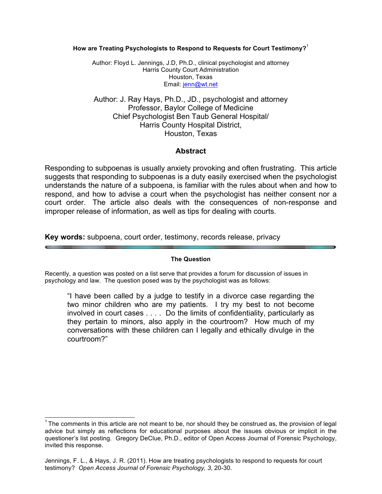**How are Treating Psychologists to Respond to Requests for Court Testimony?**<sup>1</sup>

Author: Floyd L. Jennings, J.D, Ph.D., clinical psychologist and attorney Harris County Court Administration Houston, Texas Email: jenn@wt.net

Author: J. Ray Hays, Ph.D., JD., psychologist and attorney Professor, Baylor College of Medicine Chief Psychologist Ben Taub General Hospital/ Harris County Hospital District, Houston, Texas

# **Abstract**

Responding to subpoenas is usually anxiety provoking and often frustrating. This article suggests that responding to subpoenas is a duty easily exercised when the psychologist understands the nature of a subpoena, is familiar with the rules about when and how to respond, and how to advise a court when the psychologist has neither consent nor a court order. The article also deals with the consequences of non-response and improper release of information, as well as tips for dealing with courts.

**Key words:** subpoena, court order, testimony, records release, privacy

### **The Question**

Recently, a question was posted on a list serve that provides a forum for discussion of issues in psychology and law. The question posed was by the psychologist was as follows:

"I have been called by a judge to testify in a divorce case regarding the two minor children who are my patients. I try my best to not become involved in court cases . . . . Do the limits of confidentiality, particularly as they pertain to minors, also apply in the courtroom? How much of my conversations with these children can I legally and ethically divulge in the courtroom?"

 $1$  The comments in this article are not meant to be, nor should they be construed as, the provision of legal advice but simply as reflections for educational purposes about the issues obvious or implicit in the questioner's list posting. Gregory DeClue, Ph.D., editor of Open Access Journal of Forensic Psychology, invited this response.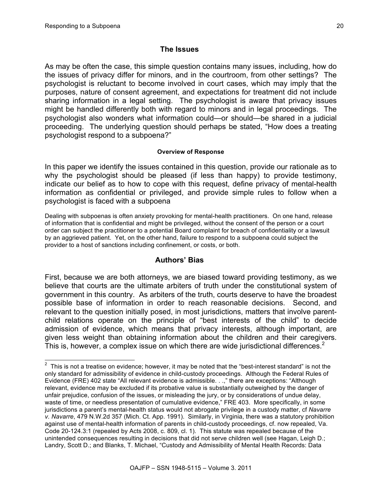# **The Issues**

As may be often the case, this simple question contains many issues, including, how do the issues of privacy differ for minors, and in the courtroom, from other settings? The psychologist is reluctant to become involved in court cases, which may imply that the purposes, nature of consent agreement, and expectations for treatment did not include sharing information in a legal setting. The psychologist is aware that privacy issues might be handled differently both with regard to minors and in legal proceedings. The psychologist also wonders what information could—or should—be shared in a judicial proceeding. The underlying question should perhaps be stated, "How does a treating psychologist respond to a subpoena?"

### **Overview of Response**

In this paper we identify the issues contained in this question, provide our rationale as to why the psychologist should be pleased (if less than happy) to provide testimony, indicate our belief as to how to cope with this request, define privacy of mental-health information as confidential or privileged, and provide simple rules to follow when a psychologist is faced with a subpoena

Dealing with subpoenas is often anxiety provoking for mental-health practitioners. On one hand, release of information that is confidential and might be privileged, without the consent of the person or a court order can subject the practitioner to a potential Board complaint for breach of confidentiality or a lawsuit by an aggrieved patient. Yet, on the other hand, failure to respond to a subpoena could subject the provider to a host of sanctions including confinement, or costs, or both.

# **Authors' Bias**

First, because we are both attorneys, we are biased toward providing testimony, as we believe that courts are the ultimate arbiters of truth under the constitutional system of government in this country. As arbiters of the truth, courts deserve to have the broadest possible base of information in order to reach reasonable decisions. Second, and relevant to the question initially posed, in most jurisdictions, matters that involve parentchild relations operate on the principle of "best interests of the child" to decide admission of evidence, which means that privacy interests, although important, are given less weight than obtaining information about the children and their caregivers. This is, however, a complex issue on which there are wide jurisdictional differences.<sup>2</sup>

 $\overline{a}$  This is not a treatise on evidence; however, it may be noted that the "best-interest standard" is not the only standard for admissibility of evidence in child-custody proceedings. Although the Federal Rules of Evidence (FRE) 402 state "All relevant evidence is admissible. . .," there are exceptions: "Although relevant, evidence may be excluded if its probative value is substantially outweighed by the danger of unfair prejudice, confusion of the issues, or misleading the jury, or by considerations of undue delay, waste of time, or needless presentation of cumulative evidence," FRE 403. More specifically, in some jurisdictions a parent's mental-health status would not abrogate privilege in a custody matter, cf *Navarre v. Navarre*, 479 N.W.2d 357 (Mich. Ct. App. 1991). Similarly, in Virginia, there was a statutory prohibition against use of mental-health information of parents in child-custody proceedings, cf. now repealed, Va. Code 20-124.3:1 (repealed by Acts 2008, c. 809, cl. 1). This statute was repealed because of the unintended consequences resulting in decisions that did not serve children well (see Hagan, Leigh D.; Landry, Scott D.; and Blanks, T. Michael, "Custody and Admissibility of Mental Health Records: Data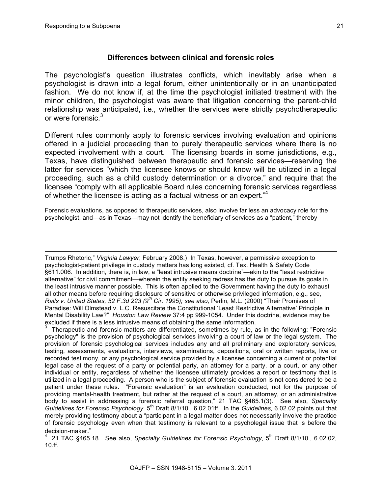1

## **Differences between clinical and forensic roles**

The psychologist's question illustrates conflicts, which inevitably arise when a psychologist is drawn into a legal forum, either unintentionally or in an unanticipated fashion. We do not know if, at the time the psychologist initiated treatment with the minor children, the psychologist was aware that litigation concerning the parent-child relationship was anticipated, i.e., whether the services were strictly psychotherapeutic or were forensic.<sup>3</sup>

Different rules commonly apply to forensic services involving evaluation and opinions offered in a judicial proceeding than to purely therapeutic services where there is no expected involvement with a court. The licensing boards in some jurisdictions, e.g., Texas, have distinguished between therapeutic and forensic services—reserving the latter for services "which the licensee knows or should know will be utilized in a legal proceeding, such as a child custody determination or a divorce," and require that the licensee "comply with all applicable Board rules concerning forensic services regardless of whether the licensee is acting as a factual witness or an expert."4

Forensic evaluations, as opposed to therapeutic services, also involve far less an advocacy role for the psychologist, and—as in Texas—may not identify the beneficiary of services as a "patient," thereby

Trumps Rhetoric," *Virginia Lawyer*, February 2008.) In Texas, however, a permissive exception to psychologist-patient privilege in custody matters has long existed, cf. Tex. Health & Safety Code §611.006. In addition, there is, in law, a "least intrusive means doctrine"—akin to the "least restrictive alternative" for civil commitment—wherein the entity seeking redress has the duty to pursue its goals in the least intrusive manner possible. This is often applied to the Government having the duty to exhaust all other means before requiring disclosure of sensitive or otherwise privileged information, e.g., see, *Ralls v. United States, 52 F.3d 223 (9th Cir. 1995); see also,* Perlin, M.L. (2000) "Their Promises of Paradise: Will Olmstead v. L.C. Resuscitate the Constitutional 'Least Restrictive Alternative' Principle in Mental Disability Law?" *Houston Law Review* 37:4 pp 999-1054. Under this doctrine, evidence may be excluded if there is a less intrusive means of obtaining the same information.

 Therapeutic and forensic matters are differentiated, sometimes by rule, as in the following: "Forensic psychology" is the provision of psychological services involving a court of law or the legal system. The provision of forensic psychological services includes any and all preliminary and exploratory services, testing, assessments, evaluations, interviews, examinations, depositions, oral or written reports, live or recorded testimony, or any psychological service provided by a licensee concerning a current or potential legal case at the request of a party or potential party, an attorney for a party, or a court, or any other individual or entity, regardless of whether the licensee ultimately provides a report or testimony that is utilized in a legal proceeding. A person who is the subject of forensic evaluation is not considered to be a patient under these rules. "Forensic evaluation" is an evaluation conducted, not for the purpose of providing mental-health treatment, but rather at the request of a court, an attorney, or an administrative body to assist in addressing a forensic referral question," 21 TAC §465.1(3). See also, *Specialty Guidelines for Forensic Psychology*, 5th Draft 8/1/10., 6.02.01ff. In the *Guidelines,* 6.02.02 points out that merely providing testimony about a "participant in a legal matter does not necessarily involve the practice of forensic psychology even when that testimony is relevant to a psycholegal issue that is before the decision-maker."

<sup>4</sup> 21 TAC §465.18. See also, *Specialty Guidelines for Forensic Psychology*, 5<sup>th</sup> Draft 8/1/10., 6.02.02, 10.ff.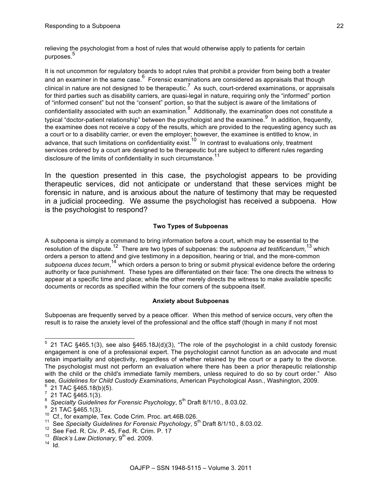relieving the psychologist from a host of rules that would otherwise apply to patients for certain purposes. 5

It is not uncommon for regulatory boards to adopt rules that prohibit a provider from being both a treater and an examiner in the same case.<sup>6</sup> Forensic examinations are considered as appraisals that though clinical in nature are not designed to be therapeutic.<sup>7</sup> As such, court-ordered examinations, or appraisals for third parties such as disability carriers, are quasi-legal in nature, requiring only the "informed" portion of "informed consent" but not the "consent" portion, so that the subject is aware of the limitations of confidentiality associated with such an examination.<sup>8</sup> Additionally, the examination does not constitute a typical "doctor-patient relationship" between the psychologist and the examinee.<sup>9</sup> In addition, frequently, the examinee does not receive a copy of the results, which are provided to the requesting agency such as a court or to a disability carrier, or even the employer; however, the examinee is entitled to know, in advance, that such limitations on confidentiality exist.<sup>10</sup> In contrast to evaluations only, treatment services ordered by a court are designed to be therapeutic but are subject to different rules regarding disclosure of the limits of confidentiality in such circumstance.<sup>11</sup>

In the question presented in this case, the psychologist appears to be providing therapeutic services, did not anticipate or understand that these services might be forensic in nature, and is anxious about the nature of testimony that may be requested in a judicial proceeding. We assume the psychologist has received a subpoena. How is the psychologist to respond?

### **Two Types of Subpoenas**

A subpoena is simply a command to bring information before a court, which may be essential to the resolution of the dispute.12 There are two types of subpoenas: the *subpoena ad testificandum,*<sup>13</sup> which orders a person to attend and give testimony in a deposition, hearing or trial, and the more-common subpoena duces tecum,<sup>14</sup> which orders a person to bring or submit physical evidence before the ordering authority or face punishment. These types are differentiated on their face: The one directs the witness to appear at a specific time and place; while the other merely directs the witness to make available specific documents or records as specified within the four corners of the subpoena itself.

### **Anxiety about Subpoenas**

Subpoenas are frequently served by a peace officer. When this method of service occurs, very often the result is to raise the anxiety level of the professional and the office staff (though in many if not most

 <sup>5</sup> 21 TAC §465.1(3), see also §465.18J(d)(3), "The role of the psychologist in a child custody forensic engagement is one of a professional expert. The psychologist cannot function as an advocate and must retain impartiality and objectivity, regardless of whether retained by the court or a party to the divorce. The psychologist must not perform an evaluation where there has been a prior therapeutic relationship with the child or the child's immediate family members, unless required to do so by court order." Also see, *Guidelines for Child Custody Examinations, American Psychological Assn., Washington, 2009.* 

 <sup>21</sup> TAC §465.18(b)(5). <sup>7</sup>

 $\frac{7}{2}$  21 TAC §465.1(3).

<sup>&</sup>lt;sup>8</sup> Specialty Guidelines for Forensic Psychology, 5<sup>th</sup> Draft 8/1/10., 8.03.02.

 $9\frac{21}{21}$  TAC §465.1(3).

<sup>21</sup> TAC § 1991.1(3).<br><sup>10</sup> Cf., for example, Tex. Code Crim. Proc. art.46B.026.<br><sup>11</sup> See *Specialty Guidelines for Forensic Psychology*, 5<sup>th</sup> Draft 8/1/10., 8.03.02.

<sup>12</sup> See Fed. R. Civ. P. 45, Fed. R. Crim. P. 17

<sup>&</sup>lt;sup>13</sup> *Black's Law Dictionary*, 9<sup>th</sup> ed. 2009.

 $14$  Id.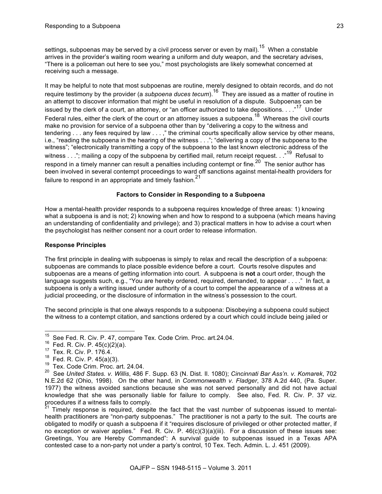settings, subpoenas may be served by a civil process server or even by mail).<sup>15</sup> When a constable arrives in the provider's waiting room wearing a uniform and duty weapon, and the secretary advises, "There is a policeman out here to see you," most psychologists are likely somewhat concerned at receiving such a message.

It may be helpful to note that most subpoenas are routine, merely designed to obtain records, and do not require testimony by the provider (a *subpoena duces tecum*).16 They are issued as a matter of routine in an attempt to discover information that might be useful in resolution of a dispute. Subpoenas can be issued by the clerk of a court, an attorney, or "an officer authorized to take depositions. . . ."<sup>17</sup> Under Federal rules, either the clerk of the court or an attorney issues a subpoena.<sup>18</sup> Whereas the civil courts make no provision for service of a subpoena other than by "delivering a copy to the witness and tendering . . . any fees required by law . . . ," the criminal courts specifically allow service by other means, i.e., "reading the subpoena in the hearing of the witness . . ."; "delivering a copy of the subpoena to the witness"; "electronically transmitting a copy of the subpoena to the last known electronic address of the witness . . ."; mailing a copy of the subpoena by certified mail, return receipt request. . ."<sup>19</sup> Refusal to respond in a timely manner can result a penalties including contempt or fine.<sup>20</sup> The senior author has been involved in several contempt proceedings to ward off sanctions against mental-health providers for failure to respond in an appropriate and timely fashion.<sup>21</sup>

#### **Factors to Consider in Responding to a Subpoena**

How a mental-health provider responds to a subpoena requires knowledge of three areas: 1) knowing what a subpoena is and is not; 2) knowing when and how to respond to a subpoena (which means having an understanding of confidentiality and privilege); and 3) practical matters in how to advise a court when the psychologist has neither consent nor a court order to release information.

#### **Response Principles**

The first principle in dealing with subpoenas is simply to relax and recall the description of a subpoena: subpoenas are commands to place possible evidence before a court. Courts resolve disputes and subpoenas are a means of getting information into court. A subpoena is **not** a court order, though the language suggests such, e.g., "You are hereby ordered, required, demanded, to appear . . . ." In fact, a subpoena is only a writing issued under authority of a court to compel the appearance of a witness at a judicial proceeding, or the disclosure of information in the witness's possession to the court.

The second principle is that one always responds to a subpoena: Disobeying a subpoena could subject the witness to a contempt citation, and sanctions ordered by a court which could include being jailed or

Timely response is required, despite the fact that the vast number of subpoenas issued to mentalhealth practitioners are "non-party subpoenas." The practitioner is not a party to the suit. The courts are obligated to modify or quash a subpoena if it "requires disclosure of privileged or other protected matter, if no exception or waiver applies." Fed. R. Civ. P. 46(c)(3)(a)(iii). For a discussion of these issues see: Greetings, You are Hereby Commanded": A survival guide to subpoenas issued in a Texas APA contested case to a non-party not under a party's control, 10 Tex. Tech. Admin. L. J. 451 (2009).

<sup>&</sup>lt;sup>15</sup> See Fed. R. Civ. P. 47, compare Tex. Code Crim. Proc. art.24.04.<br><sup>16</sup> Fed. R. Civ. P. 45(c)(2)(a).<br><sup>17</sup> Tex. R. Civ. P. 176.4.<br><sup>18</sup> Fed. R. Civ. P. 45(a)(3).

 $19$  Tex. Code Crim. Proc. art. 24.04.

<sup>20</sup> See *United States. v. Willis*, 486 F. Supp. 63 (N. Dist. Il. 1080); *Cincinnati Bar Ass'n. v. Komarek*, 702 N.E.2d 62 (Ohio, 1998). On the other hand, in *Commonwealth v. Fladger*, 378 A.2d 440, (Pa. Super. 1977) the witness avoided sanctions because she was not served personally and did not have actual knowledge that she was personally liable for failure to comply. See also, Fed. R. Civ. P. 37 viz. procedures if a witness fails to comply.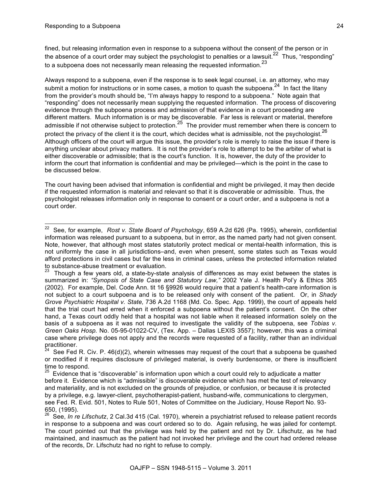fined, but releasing information even in response to a subpoena without the consent of the person or in the absence of a court order may subject the psychologist to penalties or a lawsuit.<sup>22</sup> Thus, "responding" to a subpoena does not necessarily mean releasing the requested information. $^{23}$ 

Always respond to a subpoena, even if the response is to seek legal counsel, i.e. an attorney, who may submit a motion for instructions or in some cases, a motion to quash the subpoena.<sup>24</sup> In fact the litany from the provider's mouth should be, "I'm always happy to respond to a subpoena." Note again that "responding" does not necessarily mean supplying the requested information. The process of discovering evidence through the subpoena process and admission of that evidence in a court proceeding are different matters. Much information is or may be discoverable. Far less is relevant or material, therefore admissible if not otherwise subject to protection.<sup>25</sup> The provider must remember when there is concern to protect the privacy of the client it is the court, which decides what is admissible, not the psychologist.<sup>26</sup> Although officers of the court will argue this issue, the provider's role is merely to raise the issue if there is anything unclear about privacy matters. It is not the provider's role to attempt to be the arbiter of what is either discoverable or admissible; that is the court's function. It is, however, the duty of the provider to inform the court that information is confidential and may be privileged—which is the point in the case to be discussed below.

The court having been advised that information is confidential and might be privileged, it may then decide if the requested information is material and relevant so that it is discoverable or admissible. Thus, the psychologist releases information only in response to consent or a court order, and a subpoena is not a court order.

 <sup>22</sup> See, for example, *Rost v. State Board of Psychology*, 659 A.2d 626 (Pa. 1995), wherein, confidential information was released pursuant to a subpoena, but in error, as the named party had not given consent. Note, however, that although most states statutorily protect medical or mental-health information, this is not uniformly the case in all jurisdictions–and, even when present, some states such as Texas would afford protections in civil cases but far the less in criminal cases, unless the protected information related to substance-abuse treatment or evaluation.

Though a few years old, a state-by-state analysis of differences as may exist between the states is summarized in: *"Synopsis of State Case and Statutory Law,"* 2002 Yale J. Health Pol'y & Ethics 365 (2002). For example, Del. Code Ann. tit 16 §9926 would require that a patient's health-care information is not subject to a court subpoena and is to be released only with consent of the patient. Or, in *Shady Grove Psychiatric Hospital v. State,* 736 A.2d 1168 (Md. Co. Spec. App. 1999), the court of appeals held that the trial court had erred when it enforced a subpoena without the patient's consent. On the other hand, a Texas court oddly held that a hospital was not liable when it released information solely on the basis of a subpoena as it was not required to investigate the validity of the subpoena, see *Tobias v. Green Oaks Hosp.* No. 05-95-01022-CV, (Tex. App. – Dallas LEXIS 3557); however, this was a criminal case where privilege does not apply and the records were requested of a facility, rather than an individual practitioner.

 $24$  See Fed R. Civ. P. 46(d)(2), wherein witnesses may request of the court that a subpoena be quashed or modified if it requires disclosure of privileged material, is overly burdensome, or there is insufficient time to respond.

 $25$  Evidence that is "discoverable" is information upon which a court could rely to adjudicate a matter before it. Evidence which is "admissible" is discoverable evidence which has met the test of relevancy and materiality, and is not excluded on the grounds of prejudice, or confusion, or because it is protected by a privilege, e.g. lawyer-client, psychotherapist-patient, husband-wife, communications to clergymen, see Fed. R. Evid. 501, Notes to Rule 501, Notes of Committee on the Judiciary, House Report No. 93- 650, (1995).

<sup>26</sup> See, *In re Lifschutz*, 2 Cal.3d 415 (Cal. 1970), wherein a psychiatrist refused to release patient records in response to a subpoena and was court ordered so to do. Again refusing, he was jailed for contempt. The court pointed out that the privilege was held by the patient and not by Dr. Lifschutz, as he had maintained, and inasmuch as the patient had not invoked her privilege and the court had ordered release of the records, Dr. Lifschutz had no right to refuse to comply.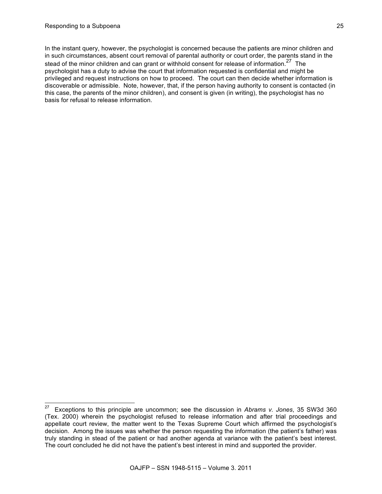In the instant query, however, the psychologist is concerned because the patients are minor children and in such circumstances, absent court removal of parental authority or court order, the parents stand in the stead of the minor children and can grant or withhold consent for release of information.<sup>27</sup> The psychologist has a duty to advise the court that information requested is confidential and might be privileged and request instructions on how to proceed. The court can then decide whether information is discoverable or admissible. Note, however, that, if the person having authority to consent is contacted (in this case, the parents of the minor children), and consent is given (in writing), the psychologist has no basis for refusal to release information.

 <sup>27</sup> Exceptions to this principle are uncommon; see the discussion in *Abrams v. Jones*, 35 SW3d 360 (Tex. 2000) wherein the psychologist refused to release information and after trial proceedings and appellate court review, the matter went to the Texas Supreme Court which affirmed the psychologist's decision. Among the issues was whether the person requesting the information (the patient's father) was truly standing in stead of the patient or had another agenda at variance with the patient's best interest. The court concluded he did not have the patient's best interest in mind and supported the provider.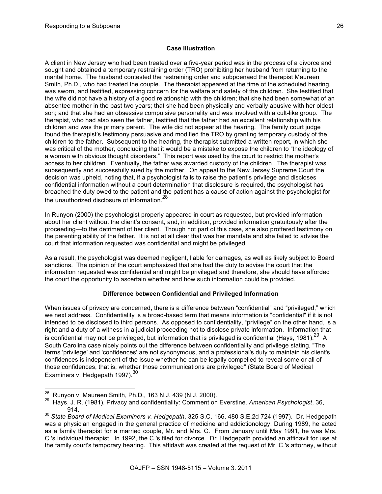#### **Case Illustration**

A client in New Jersey who had been treated over a five-year period was in the process of a divorce and sought and obtained a temporary restraining order (TRO) prohibiting her husband from returning to the marital home. The husband contested the restraining order and subpoenaed the therapist Maureen Smith, Ph.D., who had treated the couple. The therapist appeared at the time of the scheduled hearing, was sworn, and testified, expressing concern for the welfare and safety of the children. She testified that the wife did not have a history of a good relationship with the children; that she had been somewhat of an absentee mother in the past two years; that she had been physically and verbally abusive with her oldest son; and that she had an obsessive compulsive personality and was involved with a cult-like group. The therapist, who had also seen the father, testified that the father had an excellent relationship with his children and was the primary parent. The wife did not appear at the hearing. The family court judge found the therapist's testimony persuasive and modified the TRO by granting temporary custody of the children to the father. Subsequent to the hearing, the therapist submitted a written report, in which she was critical of the mother, concluding that it would be a mistake to expose the children to "the ideology of a woman with obvious thought disorders." This report was used by the court to restrict the mother's access to her children. Eventually, the father was awarded custody of the children. The therapist was subsequently and successfully sued by the mother. On appeal to the New Jersey Supreme Court the decision was upheld, noting that, if a psychologist fails to raise the patient's privilege and discloses confidential information without a court determination that disclosure is required, the psychologist has breached the duty owed to the patient and the patient has a cause of action against the psychologist for the unauthorized disclosure of information<sup>28</sup>

In Runyon (2000) the psychologist properly appeared in court as requested, but provided information about her client without the client's consent, and, in addition, provided information gratuitously after the proceeding—to the detriment of her client. Though not part of this case, she also proffered testimony on the parenting ability of the father. It is not at all clear that was her mandate and she failed to advise the court that information requested was confidential and might be privileged.

As a result, the psychologist was deemed negligent, liable for damages, as well as likely subject to Board sanctions. The opinion of the court emphasized that she had the duty to advise the court that the information requested was confidential and might be privileged and therefore, she should have afforded the court the opportunity to ascertain whether and how such information could be provided.

#### **Difference between Confidential and Privileged Information**

When issues of privacy are concerned, there is a difference between "confidential" and "privileged," which we next address. Confidentiality is a broad-based term that means information is "confidential" if it is not intended to be disclosed to third persons. As opposed to confidentiality, "privilege" on the other hand, is a right and a duty of a witness in a judicial proceeding not to disclose private information. Information that is confidential may not be privileged, but information that is privileged is confidential (Hays, 1981). $^{29}$  A South Carolina case nicely points out the difference between confidentiality and privilege stating, "The terms 'privilege' and 'confidences' are not synonymous, and a professional's duty to maintain his client's confidences is independent of the issue whether he can be legally compelled to reveal some or all of those confidences, that is, whether those communications are privileged" (State Board of Medical Examiners v. Hedgepath 1997).<sup>30</sup>

<sup>&</sup>lt;sup>28</sup> Runyon v. Maureen Smith, Ph.D., 163 N.J. 439 (N.J. 2000).<br><sup>29</sup> Hays, J. R. (1981). Privacy and confidentiality: Comment on Everstine. *American Psychologist*, 36, 914.

<sup>30</sup> *State Board of Medical Examiners v. Hedgepath*, 325 S.C. 166, 480 S.E.2d 724 (1997). Dr. Hedgepath was a physician engaged in the general practice of medicine and addictionology. During 1989, he acted as a family therapist for a married couple, Mr. and Mrs. C. From January until May 1991, he was Mrs. C.'s individual therapist. In 1992, the C.'s filed for divorce. Dr. Hedgepath provided an affidavit for use at the family court's temporary hearing. This affidavit was created at the request of Mr. C.'s attorney, without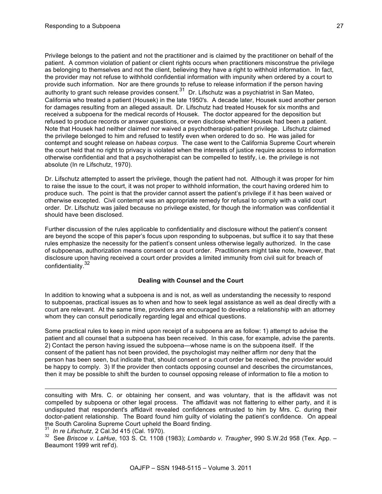Privilege belongs to the patient and not the practitioner and is claimed by the practitioner on behalf of the patient. A common violation of patient or client rights occurs when practitioners misconstrue the privilege as belonging to themselves and not the client, believing they have a right to withhold information. In fact, the provider may not refuse to withhold confidential information with impunity when ordered by a court to provide such information. Nor are there grounds to refuse to release information if the person having authority to grant such release provides consent.<sup>31</sup> Dr. Lifschutz was a psychiatrist in San Mateo, California who treated a patient (Housek) in the late 1950's. A decade later, Housek sued another person for damages resulting from an alleged assault. Dr. Lifschutz had treated Housek for six months and received a subpoena for the medical records of Housek. The doctor appeared for the deposition but refused to produce records or answer questions, or even disclose whether Housek had been a patient. Note that Housek had neither claimed nor waived a psychotherapist-patient privilege. Lifschutz claimed the privilege belonged to him and refused to testify even when ordered to do so. He was jailed for contempt and sought release on *habeas corpus*. The case went to the California Supreme Court wherein the court held that no right to privacy is violated when the interests of justice require access to information otherwise confidential and that a psychotherapist can be compelled to testify, i.e. the privilege is not absolute (In re Lifschutz, 1970).

Dr. Lifschutz attempted to assert the privilege, though the patient had not. Although it was proper for him to raise the issue to the court, it was not proper to withhold information, the court having ordered him to produce such. The point is that the provider cannot assert the patient's privilege if it has been waived or otherwise excepted. Civil contempt was an appropriate remedy for refusal to comply with a valid court order. Dr. Lifschutz was jailed because no privilege existed, for though the information was confidential it should have been disclosed.

Further discussion of the rules applicable to confidentiality and disclosure without the patient's consent are beyond the scope of this paper's focus upon responding to subpoenas, but suffice it to say that these rules emphasize the necessity for the patient's consent unless otherwise legally authorized. In the case of subpoenas, authorization means consent or a court order. Practitioners might take note, however, that disclosure upon having received a court order provides a limited immunity from civil suit for breach of confidentiality.<sup>32</sup>

#### **Dealing with Counsel and the Court**

In addition to knowing what a subpoena is and is not, as well as understanding the necessity to respond to subpoenas, practical issues as to when and how to seek legal assistance as well as deal directly with a court are relevant. At the same time, providers are encouraged to develop a relationship with an attorney whom they can consult periodically regarding legal and ethical questions.

Some practical rules to keep in mind upon receipt of a subpoena are as follow: 1) attempt to advise the patient and all counsel that a subpoena has been received. In this case, for example, advise the parents. 2) Contact the person having issued the subpoena—whose name is on the subpoena itself. If the consent of the patient has not been provided, the psychologist may neither affirm nor deny that the person has been seen, but indicate that, should consent or a court order be received, the provider would be happy to comply. 3) If the provider then contacts opposing counsel and describes the circumstances, then it may be possible to shift the burden to counsel opposing release of information to file a motion to

consulting with Mrs. C. or obtaining her consent, and was voluntary, that is the affidavit was not compelled by subpoena or other legal process. The affidavit was not flattering to either party, and it is undisputed that respondent's affidavit revealed confidences entrusted to him by Mrs. C. during their doctor-patient relationship. The Board found him guilty of violating the patient's confidence. On appeal the South Carolina Supreme Court upheld the Board finding.

-

<sup>31</sup> In re Lifschutz, 2 Cal.3d 415 (Cal. 1970).<br><sup>32</sup> See *Briscoe v. LaHue*, 103 S. Ct. 1108 (1983); *Lombardo v. Traugher¸* 990 S.W.2d 958 (Tex. App. – Beaumont 1999 writ ref'd).